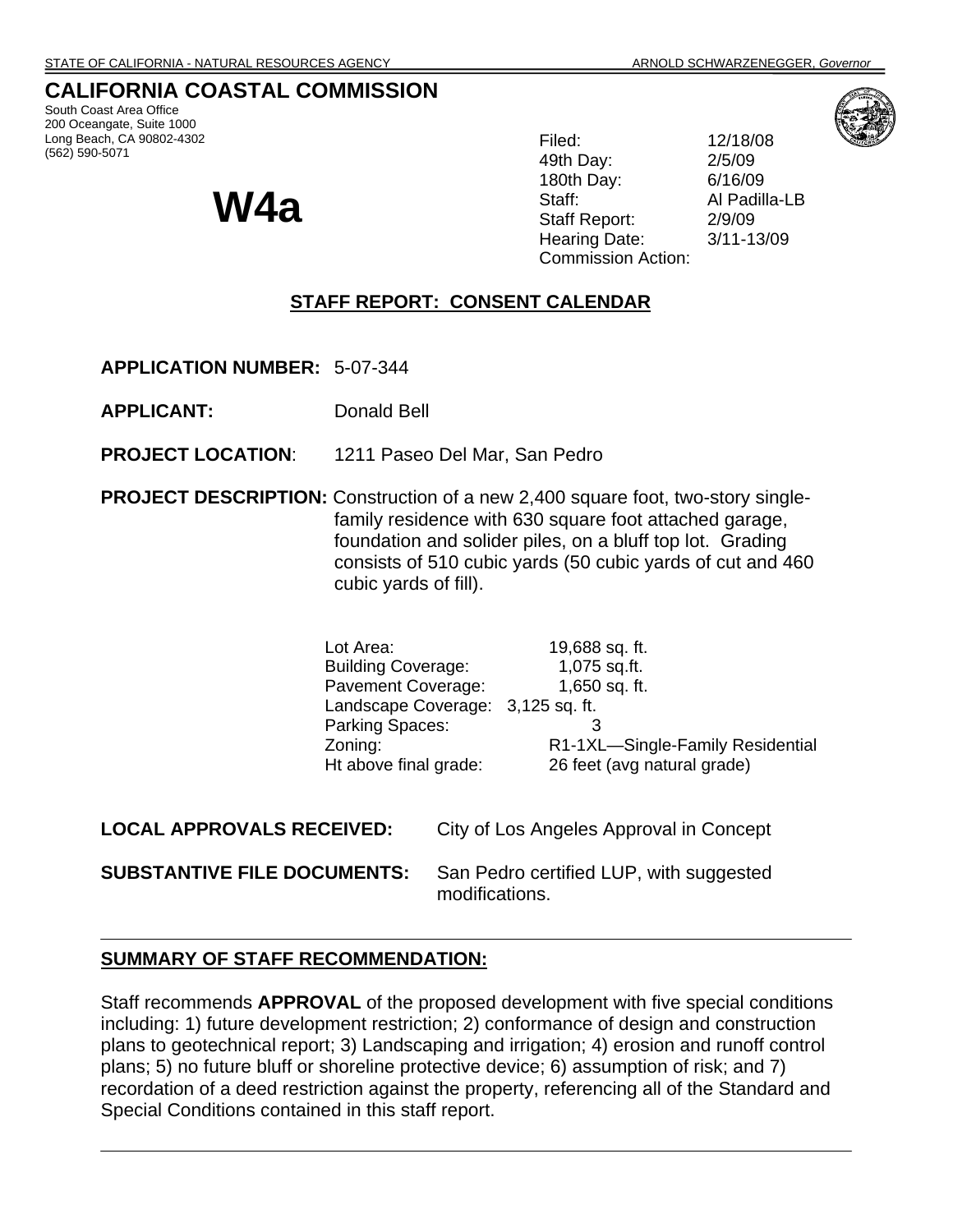# **CALIFORNIA COASTAL COMMISSION**

South Coast Area Office 200 Oceangate, Suite 1000 Long Beach, CA 90802-4302 (562) 590-5071

**W4a** 

Filed: 12/18/08 49th Day: 2/5/09 180th Day: 6/16/09 Staff: Al Padilla-LB Staff Report: 2/9/09 Hearing Date: 3/11-13/09 Commission Action:

## **STAFF REPORT: CONSENT CALENDAR**

**APPLICATION NUMBER:** 5-07-344

**APPLICANT:** Donald Bell

**PROJECT LOCATION**: 1211 Paseo Del Mar, San Pedro

**PROJECT DESCRIPTION:** Construction of a new 2,400 square foot, two-story singlefamily residence with 630 square foot attached garage, foundation and solider piles, on a bluff top lot. Grading consists of 510 cubic yards (50 cubic yards of cut and 460 cubic yards of fill).

| Lot Area:                         | 19,688 sq. ft.                   |
|-----------------------------------|----------------------------------|
| <b>Building Coverage:</b>         | 1,075 sq.ft.                     |
| Pavement Coverage:                | 1,650 sq. ft.                    |
| Landscape Coverage: 3,125 sq. ft. |                                  |
| Parking Spaces:                   | З                                |
| Zoning:                           | R1-1XL-Single-Family Residential |
| Ht above final grade:             | 26 feet (avg natural grade)      |

**LOCAL APPROVALS RECEIVED:** City of Los Angeles Approval in Concept

**SUBSTANTIVE FILE DOCUMENTS:** San Pedro certified LUP, with suggested modifications.

#### **SUMMARY OF STAFF RECOMMENDATION:**

Staff recommends **APPROVAL** of the proposed development with five special conditions including: 1) future development restriction; 2) conformance of design and construction plans to geotechnical report; 3) Landscaping and irrigation; 4) erosion and runoff control plans; 5) no future bluff or shoreline protective device; 6) assumption of risk; and 7) recordation of a deed restriction against the property, referencing all of the Standard and Special Conditions contained in this staff report.

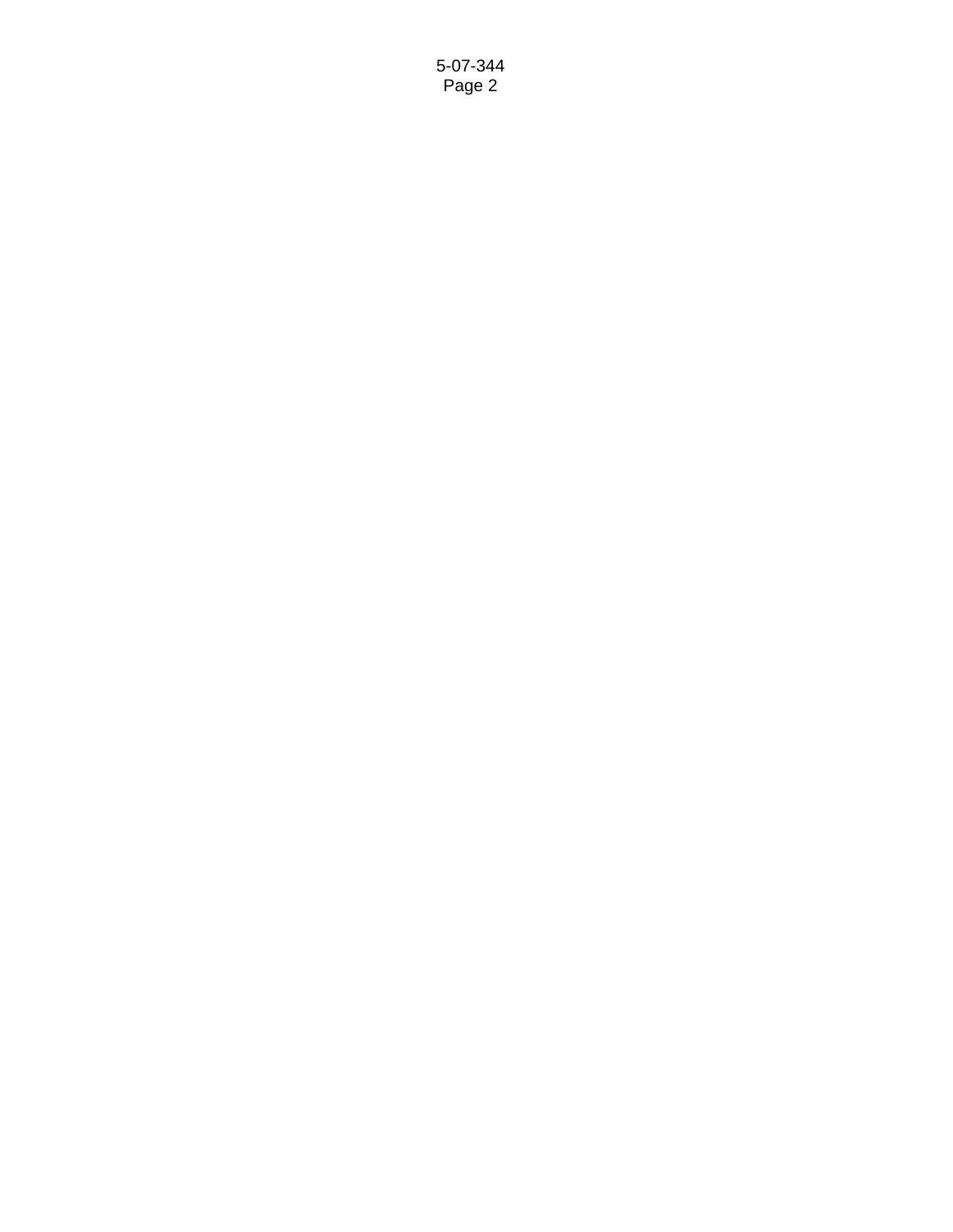5-07-344 Page 2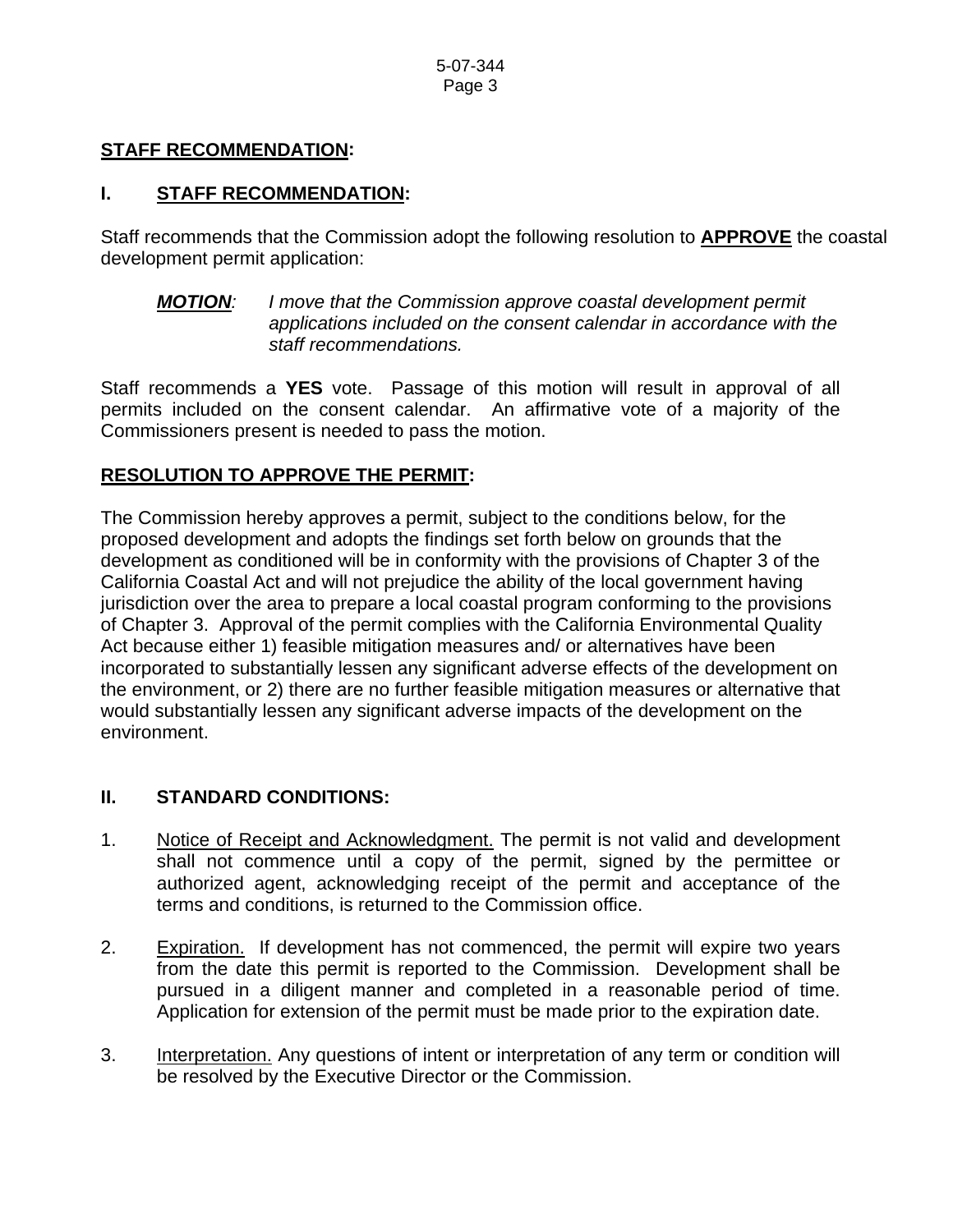### **STAFF RECOMMENDATION:**

### **I. STAFF RECOMMENDATION:**

Staff recommends that the Commission adopt the following resolution to **APPROVE** the coastal development permit application:

*MOTION: I move that the Commission approve coastal development permit applications included on the consent calendar in accordance with the staff recommendations.* 

Staff recommends a **YES** vote. Passage of this motion will result in approval of all permits included on the consent calendar. An affirmative vote of a majority of the Commissioners present is needed to pass the motion.

## **RESOLUTION TO APPROVE THE PERMIT:**

The Commission hereby approves a permit, subject to the conditions below, for the proposed development and adopts the findings set forth below on grounds that the development as conditioned will be in conformity with the provisions of Chapter 3 of the California Coastal Act and will not prejudice the ability of the local government having jurisdiction over the area to prepare a local coastal program conforming to the provisions of Chapter 3. Approval of the permit complies with the California Environmental Quality Act because either 1) feasible mitigation measures and/ or alternatives have been incorporated to substantially lessen any significant adverse effects of the development on the environment, or 2) there are no further feasible mitigation measures or alternative that would substantially lessen any significant adverse impacts of the development on the environment.

#### **II. STANDARD CONDITIONS:**

- 1. Notice of Receipt and Acknowledgment. The permit is not valid and development shall not commence until a copy of the permit, signed by the permittee or authorized agent, acknowledging receipt of the permit and acceptance of the terms and conditions, is returned to the Commission office.
- 2. Expiration. If development has not commenced, the permit will expire two years from the date this permit is reported to the Commission. Development shall be pursued in a diligent manner and completed in a reasonable period of time. Application for extension of the permit must be made prior to the expiration date.
- 3. Interpretation. Any questions of intent or interpretation of any term or condition will be resolved by the Executive Director or the Commission.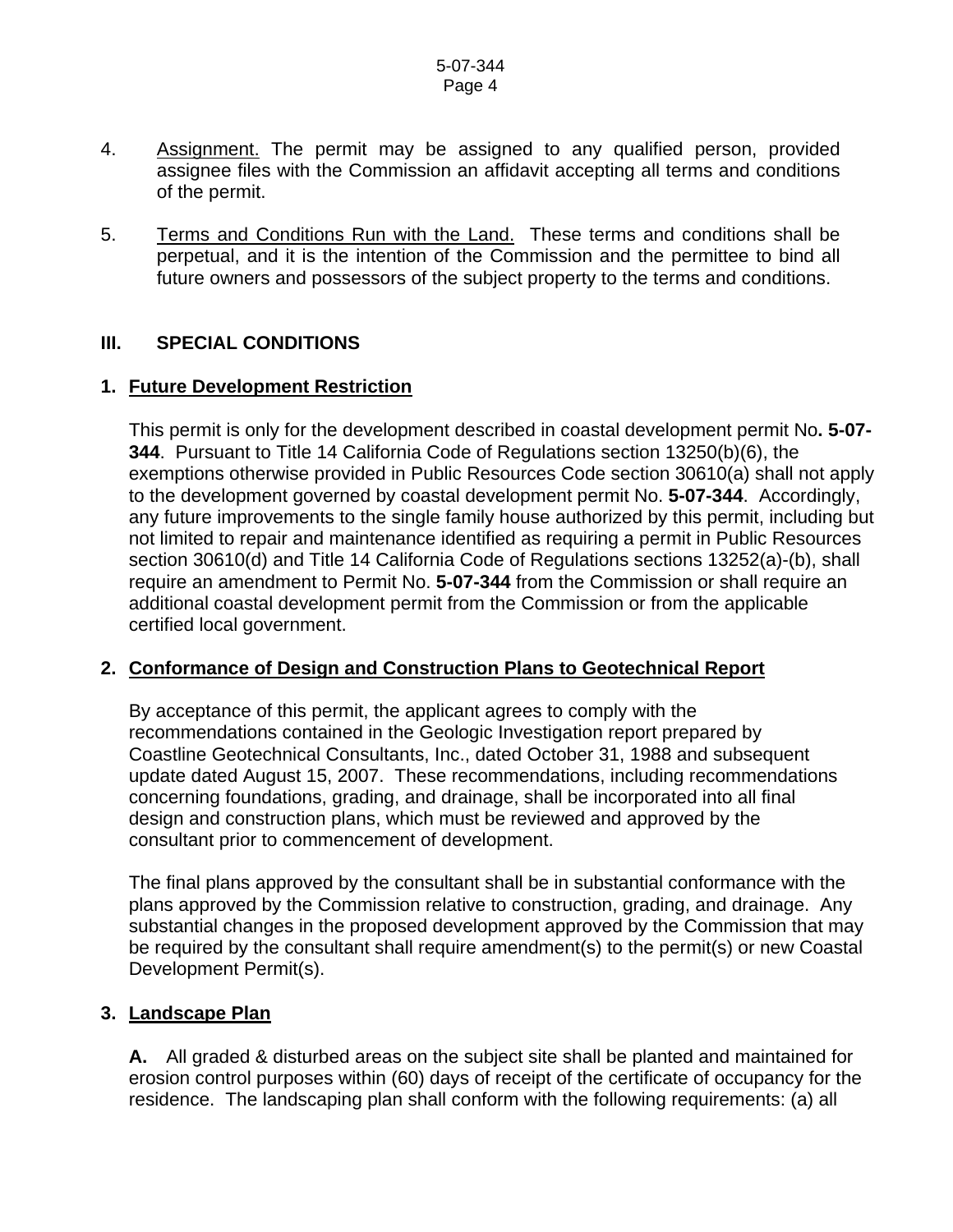- 4. Assignment. The permit may be assigned to any qualified person, provided assignee files with the Commission an affidavit accepting all terms and conditions of the permit.
- 5. Terms and Conditions Run with the Land. These terms and conditions shall be perpetual, and it is the intention of the Commission and the permittee to bind all future owners and possessors of the subject property to the terms and conditions.

### **III. SPECIAL CONDITIONS**

#### **1. Future Development Restriction**

This permit is only for the development described in coastal development permit No**. 5-07- 344**. Pursuant to Title 14 California Code of Regulations section 13250(b)(6), the exemptions otherwise provided in Public Resources Code section 30610(a) shall not apply to the development governed by coastal development permit No. **5-07-344**.Accordingly, any future improvements to the single family house authorized by this permit, including but not limited to repair and maintenance identified as requiring a permit in Public Resources section 30610(d) and Title 14 California Code of Regulations sections 13252(a)-(b), shall require an amendment to Permit No. **5-07-344** from the Commission or shall require an additional coastal development permit from the Commission or from the applicable certified local government.

#### **2. Conformance of Design and Construction Plans to Geotechnical Report**

By acceptance of this permit, the applicant agrees to comply with the recommendations contained in the Geologic Investigation report prepared by Coastline Geotechnical Consultants, Inc., dated October 31, 1988 and subsequent update dated August 15, 2007. These recommendations, including recommendations concerning foundations, grading, and drainage, shall be incorporated into all final design and construction plans, which must be reviewed and approved by the consultant prior to commencement of development.

The final plans approved by the consultant shall be in substantial conformance with the plans approved by the Commission relative to construction, grading, and drainage. Any substantial changes in the proposed development approved by the Commission that may be required by the consultant shall require amendment(s) to the permit(s) or new Coastal Development Permit(s).

#### **3. Landscape Plan**

**A.** All graded & disturbed areas on the subject site shall be planted and maintained for erosion control purposes within (60) days of receipt of the certificate of occupancy for the residence. The landscaping plan shall conform with the following requirements: (a) all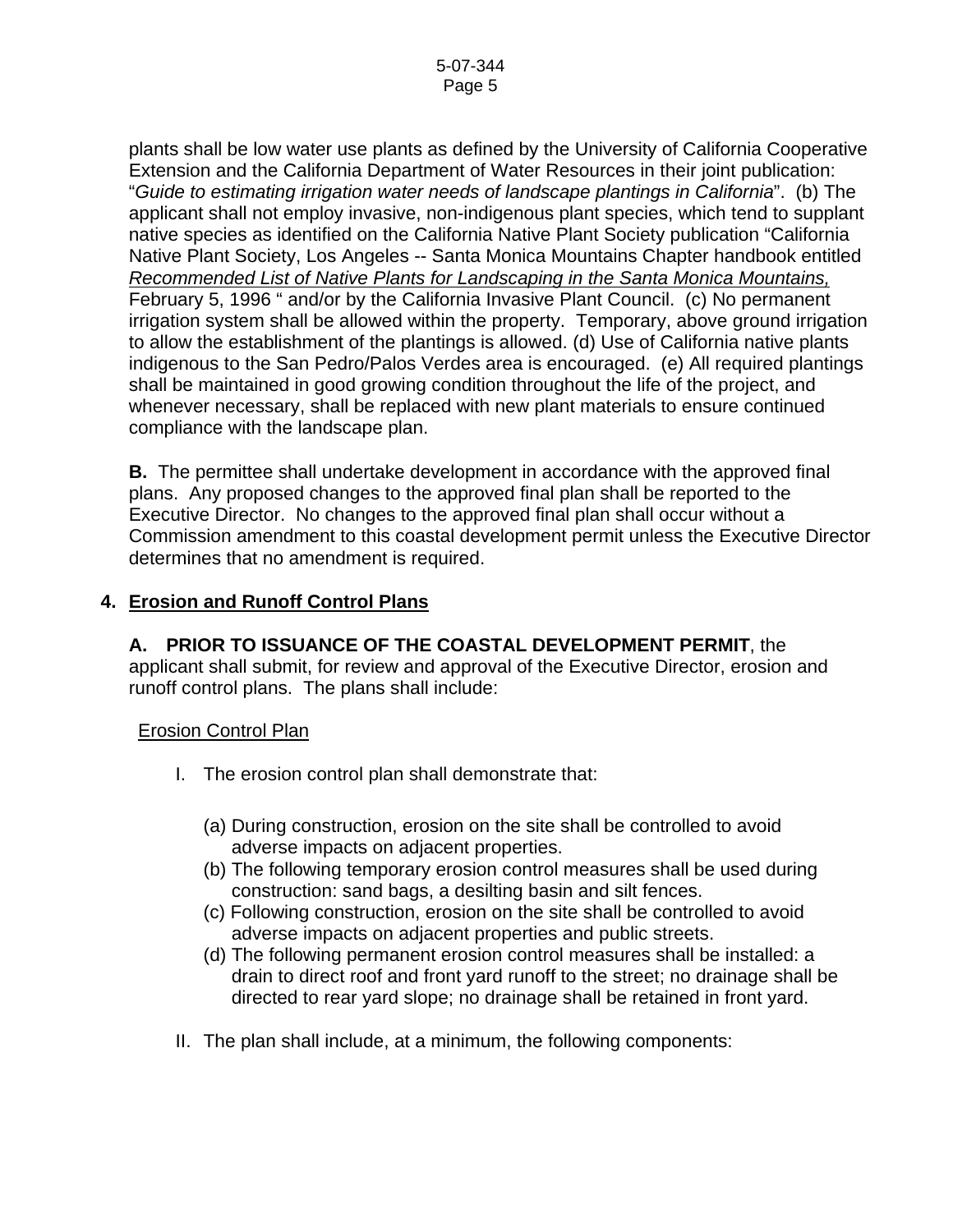plants shall be low water use plants as defined by the University of California Cooperative Extension and the California Department of Water Resources in their joint publication: "*Guide to estimating irrigation water needs of landscape plantings in California*". (b) The applicant shall not employ invasive, non-indigenous plant species, which tend to supplant native species as identified on the California Native Plant Society publication "California Native Plant Society, Los Angeles -- Santa Monica Mountains Chapter handbook entitled *Recommended List of Native Plants for Landscaping in the Santa Monica Mountains,* February 5, 1996 " and/or by the California Invasive Plant Council. (c) No permanent irrigation system shall be allowed within the property. Temporary, above ground irrigation to allow the establishment of the plantings is allowed. (d) Use of California native plants indigenous to the San Pedro/Palos Verdes area is encouraged. (e) All required plantings shall be maintained in good growing condition throughout the life of the project, and whenever necessary, shall be replaced with new plant materials to ensure continued compliance with the landscape plan.

**B.** The permittee shall undertake development in accordance with the approved final plans. Any proposed changes to the approved final plan shall be reported to the Executive Director. No changes to the approved final plan shall occur without a Commission amendment to this coastal development permit unless the Executive Director determines that no amendment is required.

### **4. Erosion and Runoff Control Plans**

**A. PRIOR TO ISSUANCE OF THE COASTAL DEVELOPMENT PERMIT**, the applicant shall submit, for review and approval of the Executive Director, erosion and runoff control plans. The plans shall include:

#### Erosion Control Plan

- I. The erosion control plan shall demonstrate that:
	- (a) During construction, erosion on the site shall be controlled to avoid adverse impacts on adjacent properties.
	- (b) The following temporary erosion control measures shall be used during construction: sand bags, a desilting basin and silt fences.
	- (c) Following construction, erosion on the site shall be controlled to avoid adverse impacts on adjacent properties and public streets.
	- (d) The following permanent erosion control measures shall be installed: a drain to direct roof and front yard runoff to the street; no drainage shall be directed to rear yard slope; no drainage shall be retained in front yard.
- II. The plan shall include, at a minimum, the following components: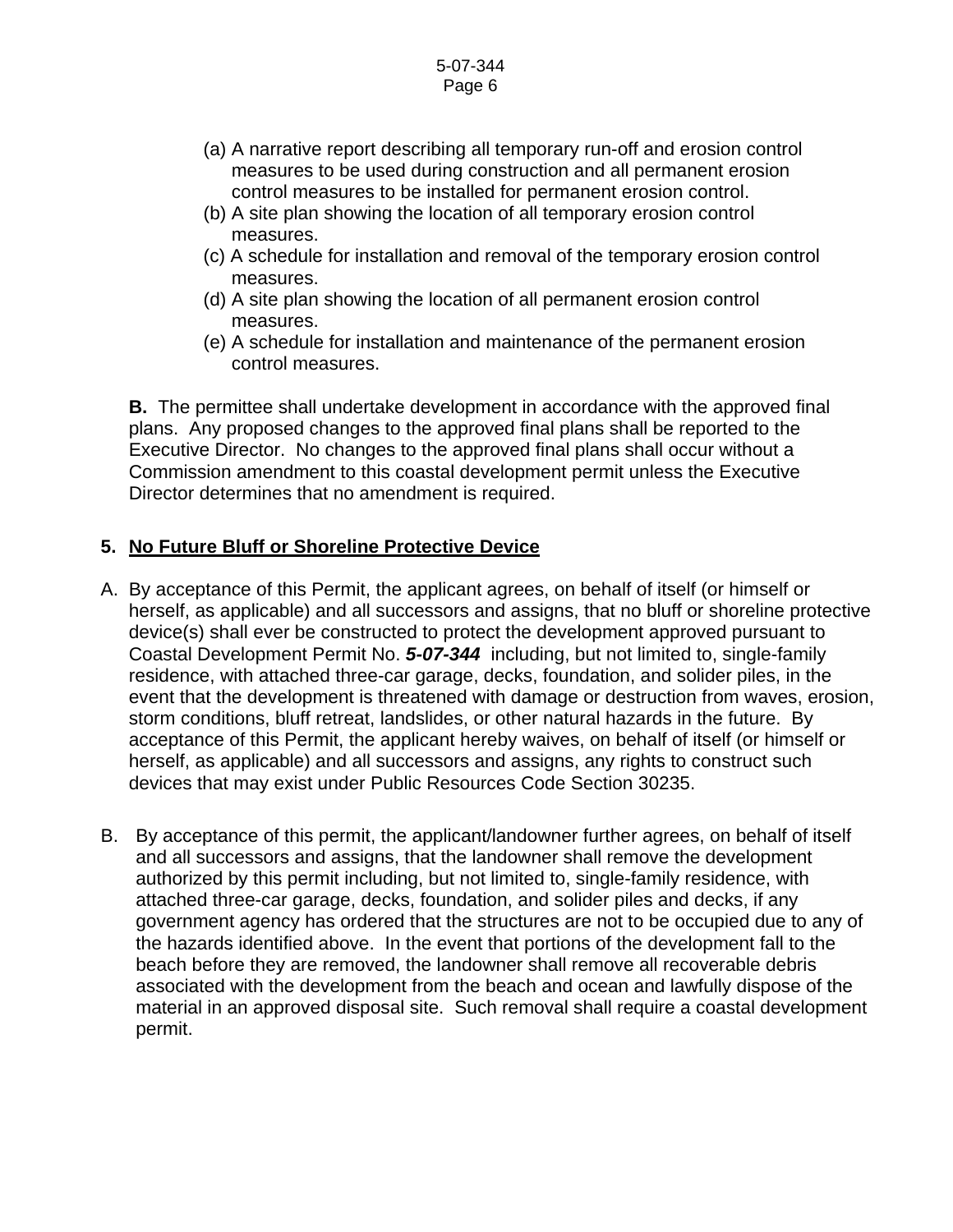- (a) A narrative report describing all temporary run-off and erosion control measures to be used during construction and all permanent erosion control measures to be installed for permanent erosion control.
- (b) A site plan showing the location of all temporary erosion control measures.
- (c) A schedule for installation and removal of the temporary erosion control measures.
- (d) A site plan showing the location of all permanent erosion control measures.
- (e) A schedule for installation and maintenance of the permanent erosion control measures.

**B.** The permittee shall undertake development in accordance with the approved final plans. Any proposed changes to the approved final plans shall be reported to the Executive Director. No changes to the approved final plans shall occur without a Commission amendment to this coastal development permit unless the Executive Director determines that no amendment is required.

## **5. No Future Bluff or Shoreline Protective Device**

- A. By acceptance of this Permit, the applicant agrees, on behalf of itself (or himself or herself, as applicable) and all successors and assigns, that no bluff or shoreline protective device(s) shall ever be constructed to protect the development approved pursuant to Coastal Development Permit No. *5-07-344* including, but not limited to, single-family residence, with attached three-car garage, decks, foundation, and solider piles, in the event that the development is threatened with damage or destruction from waves, erosion, storm conditions, bluff retreat, landslides, or other natural hazards in the future. By acceptance of this Permit, the applicant hereby waives, on behalf of itself (or himself or herself, as applicable) and all successors and assigns, any rights to construct such devices that may exist under Public Resources Code Section 30235.
- B. By acceptance of this permit, the applicant/landowner further agrees, on behalf of itself and all successors and assigns, that the landowner shall remove the development authorized by this permit including, but not limited to, single-family residence, with attached three-car garage, decks, foundation, and solider piles and decks, if any government agency has ordered that the structures are not to be occupied due to any of the hazards identified above. In the event that portions of the development fall to the beach before they are removed, the landowner shall remove all recoverable debris associated with the development from the beach and ocean and lawfully dispose of the material in an approved disposal site. Such removal shall require a coastal development permit.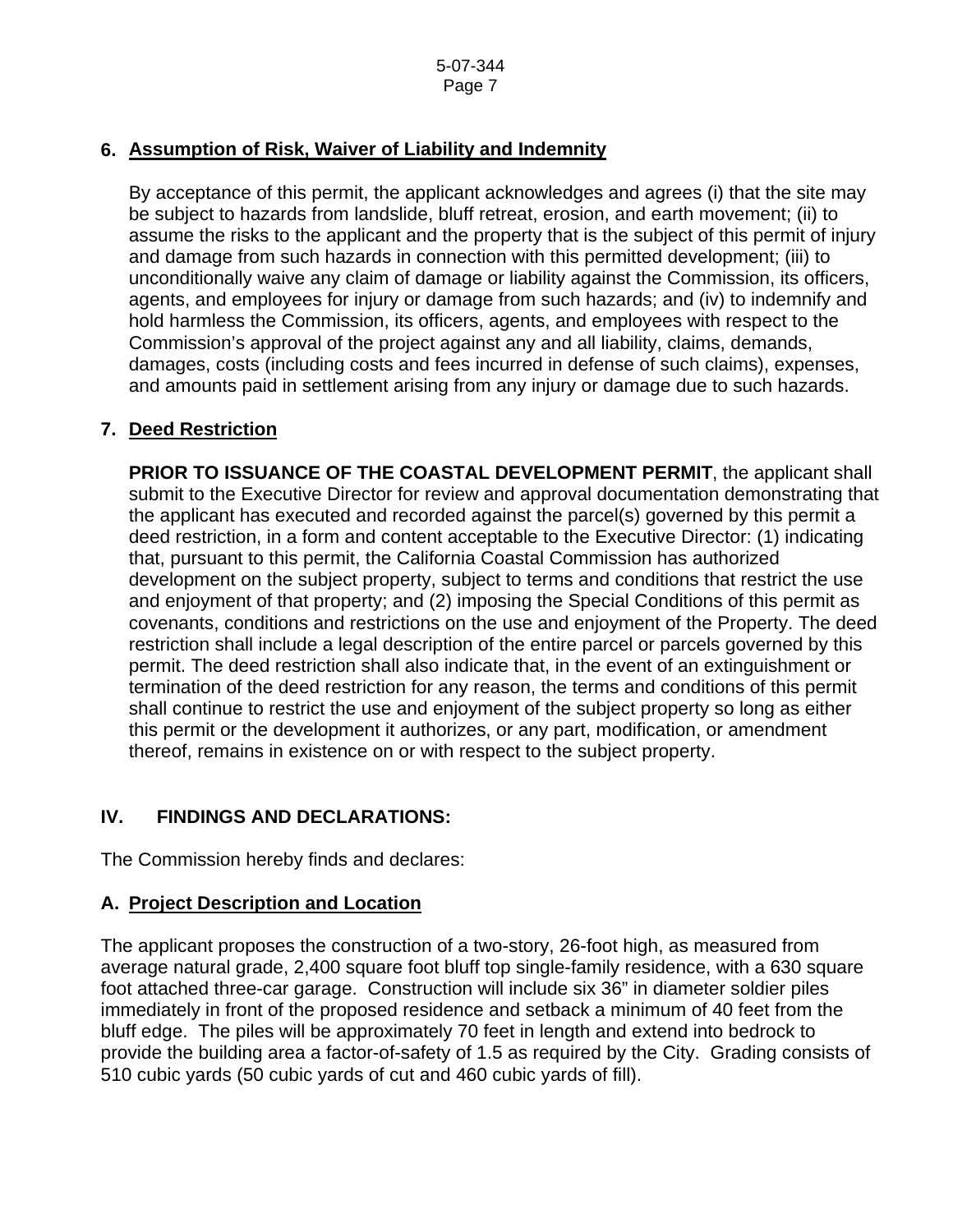### **6. Assumption of Risk, Waiver of Liability and Indemnity**

By acceptance of this permit, the applicant acknowledges and agrees (i) that the site may be subject to hazards from landslide, bluff retreat, erosion, and earth movement; (ii) to assume the risks to the applicant and the property that is the subject of this permit of injury and damage from such hazards in connection with this permitted development; (iii) to unconditionally waive any claim of damage or liability against the Commission, its officers, agents, and employees for injury or damage from such hazards; and (iv) to indemnify and hold harmless the Commission, its officers, agents, and employees with respect to the Commission's approval of the project against any and all liability, claims, demands, damages, costs (including costs and fees incurred in defense of such claims), expenses, and amounts paid in settlement arising from any injury or damage due to such hazards.

### **7. Deed Restriction**

**PRIOR TO ISSUANCE OF THE COASTAL DEVELOPMENT PERMIT**, the applicant shall submit to the Executive Director for review and approval documentation demonstrating that the applicant has executed and recorded against the parcel(s) governed by this permit a deed restriction, in a form and content acceptable to the Executive Director: (1) indicating that, pursuant to this permit, the California Coastal Commission has authorized development on the subject property, subject to terms and conditions that restrict the use and enjoyment of that property; and (2) imposing the Special Conditions of this permit as covenants, conditions and restrictions on the use and enjoyment of the Property. The deed restriction shall include a legal description of the entire parcel or parcels governed by this permit. The deed restriction shall also indicate that, in the event of an extinguishment or termination of the deed restriction for any reason, the terms and conditions of this permit shall continue to restrict the use and enjoyment of the subject property so long as either this permit or the development it authorizes, or any part, modification, or amendment thereof, remains in existence on or with respect to the subject property.

## **IV. FINDINGS AND DECLARATIONS:**

The Commission hereby finds and declares:

#### **A. Project Description and Location**

The applicant proposes the construction of a two-story, 26-foot high, as measured from average natural grade, 2,400 square foot bluff top single-family residence, with a 630 square foot attached three-car garage. Construction will include six 36" in diameter soldier piles immediately in front of the proposed residence and setback a minimum of 40 feet from the bluff edge. The piles will be approximately 70 feet in length and extend into bedrock to provide the building area a factor-of-safety of 1.5 as required by the City. Grading consists of 510 cubic yards (50 cubic yards of cut and 460 cubic yards of fill).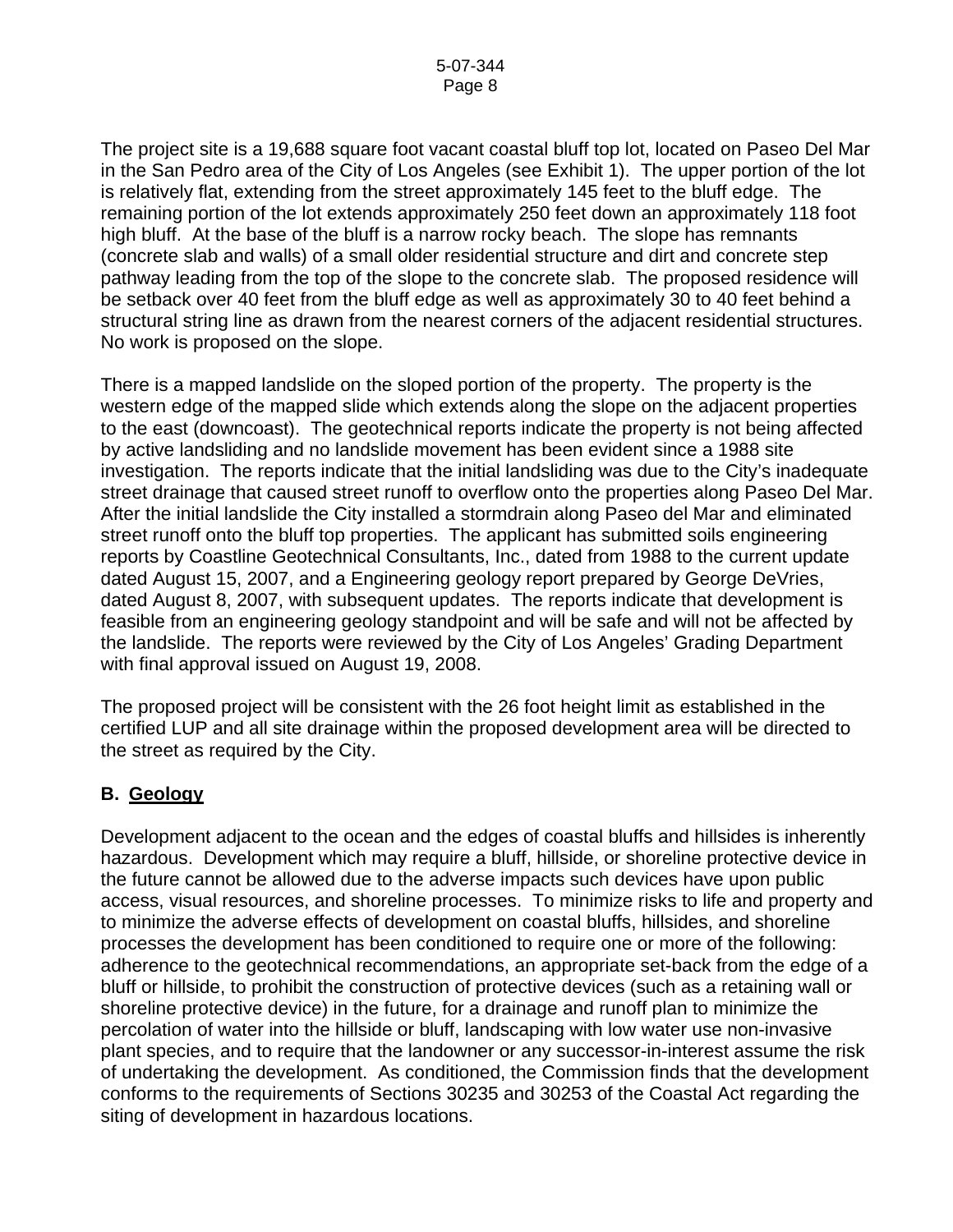The project site is a 19,688 square foot vacant coastal bluff top lot, located on Paseo Del Mar in the San Pedro area of the City of Los Angeles (see Exhibit 1). The upper portion of the lot is relatively flat, extending from the street approximately 145 feet to the bluff edge. The remaining portion of the lot extends approximately 250 feet down an approximately 118 foot high bluff. At the base of the bluff is a narrow rocky beach. The slope has remnants (concrete slab and walls) of a small older residential structure and dirt and concrete step pathway leading from the top of the slope to the concrete slab. The proposed residence will be setback over 40 feet from the bluff edge as well as approximately 30 to 40 feet behind a structural string line as drawn from the nearest corners of the adjacent residential structures. No work is proposed on the slope.

There is a mapped landslide on the sloped portion of the property. The property is the western edge of the mapped slide which extends along the slope on the adjacent properties to the east (downcoast). The geotechnical reports indicate the property is not being affected by active landsliding and no landslide movement has been evident since a 1988 site investigation. The reports indicate that the initial landsliding was due to the City's inadequate street drainage that caused street runoff to overflow onto the properties along Paseo Del Mar. After the initial landslide the City installed a stormdrain along Paseo del Mar and eliminated street runoff onto the bluff top properties. The applicant has submitted soils engineering reports by Coastline Geotechnical Consultants, Inc., dated from 1988 to the current update dated August 15, 2007, and a Engineering geology report prepared by George DeVries, dated August 8, 2007, with subsequent updates. The reports indicate that development is feasible from an engineering geology standpoint and will be safe and will not be affected by the landslide. The reports were reviewed by the City of Los Angeles' Grading Department with final approval issued on August 19, 2008.

The proposed project will be consistent with the 26 foot height limit as established in the certified LUP and all site drainage within the proposed development area will be directed to the street as required by the City.

#### **B. Geology**

Development adjacent to the ocean and the edges of coastal bluffs and hillsides is inherently hazardous. Development which may require a bluff, hillside, or shoreline protective device in the future cannot be allowed due to the adverse impacts such devices have upon public access, visual resources, and shoreline processes. To minimize risks to life and property and to minimize the adverse effects of development on coastal bluffs, hillsides, and shoreline processes the development has been conditioned to require one or more of the following: adherence to the geotechnical recommendations, an appropriate set-back from the edge of a bluff or hillside, to prohibit the construction of protective devices (such as a retaining wall or shoreline protective device) in the future, for a drainage and runoff plan to minimize the percolation of water into the hillside or bluff, landscaping with low water use non-invasive plant species, and to require that the landowner or any successor-in-interest assume the risk of undertaking the development. As conditioned, the Commission finds that the development conforms to the requirements of Sections 30235 and 30253 of the Coastal Act regarding the siting of development in hazardous locations.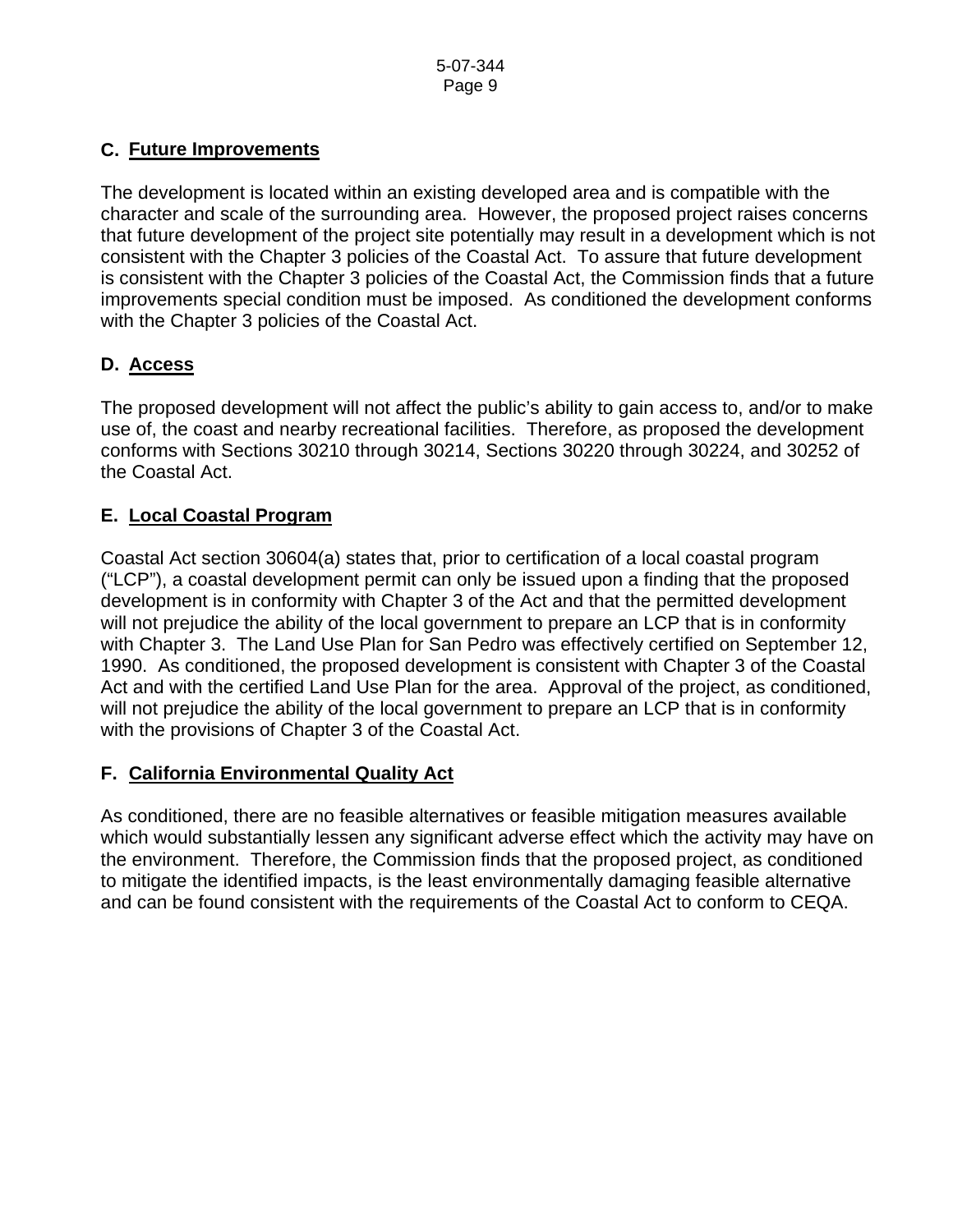## **C. Future Improvements**

The development is located within an existing developed area and is compatible with the character and scale of the surrounding area. However, the proposed project raises concerns that future development of the project site potentially may result in a development which is not consistent with the Chapter 3 policies of the Coastal Act. To assure that future development is consistent with the Chapter 3 policies of the Coastal Act, the Commission finds that a future improvements special condition must be imposed. As conditioned the development conforms with the Chapter 3 policies of the Coastal Act.

# **D. Access**

The proposed development will not affect the public's ability to gain access to, and/or to make use of, the coast and nearby recreational facilities. Therefore, as proposed the development conforms with Sections 30210 through 30214, Sections 30220 through 30224, and 30252 of the Coastal Act.

# **E. Local Coastal Program**

Coastal Act section 30604(a) states that, prior to certification of a local coastal program ("LCP"), a coastal development permit can only be issued upon a finding that the proposed development is in conformity with Chapter 3 of the Act and that the permitted development will not prejudice the ability of the local government to prepare an LCP that is in conformity with Chapter 3. The Land Use Plan for San Pedro was effectively certified on September 12, 1990. As conditioned, the proposed development is consistent with Chapter 3 of the Coastal Act and with the certified Land Use Plan for the area. Approval of the project, as conditioned, will not prejudice the ability of the local government to prepare an LCP that is in conformity with the provisions of Chapter 3 of the Coastal Act.

## **F. California Environmental Quality Act**

As conditioned, there are no feasible alternatives or feasible mitigation measures available which would substantially lessen any significant adverse effect which the activity may have on the environment. Therefore, the Commission finds that the proposed project, as conditioned to mitigate the identified impacts, is the least environmentally damaging feasible alternative and can be found consistent with the requirements of the Coastal Act to conform to CEQA.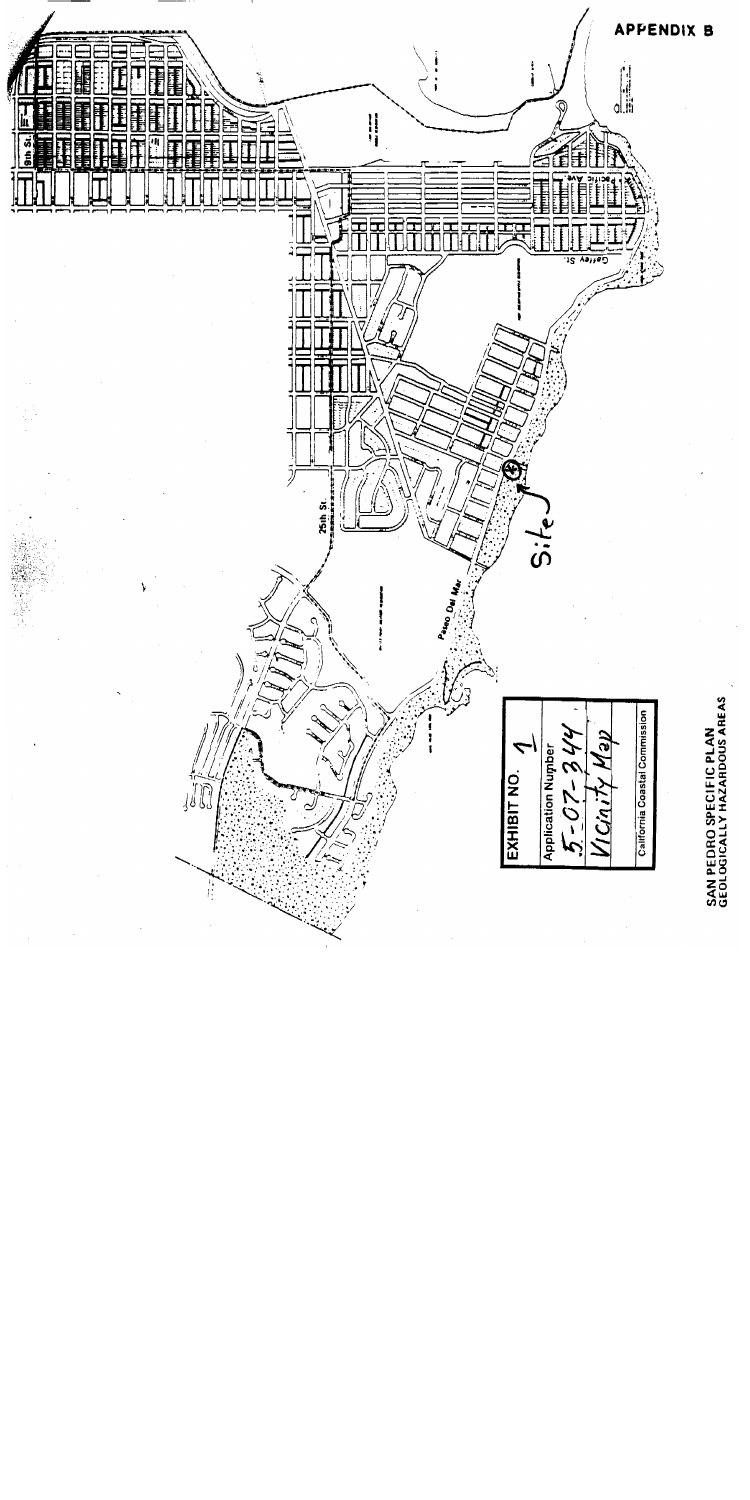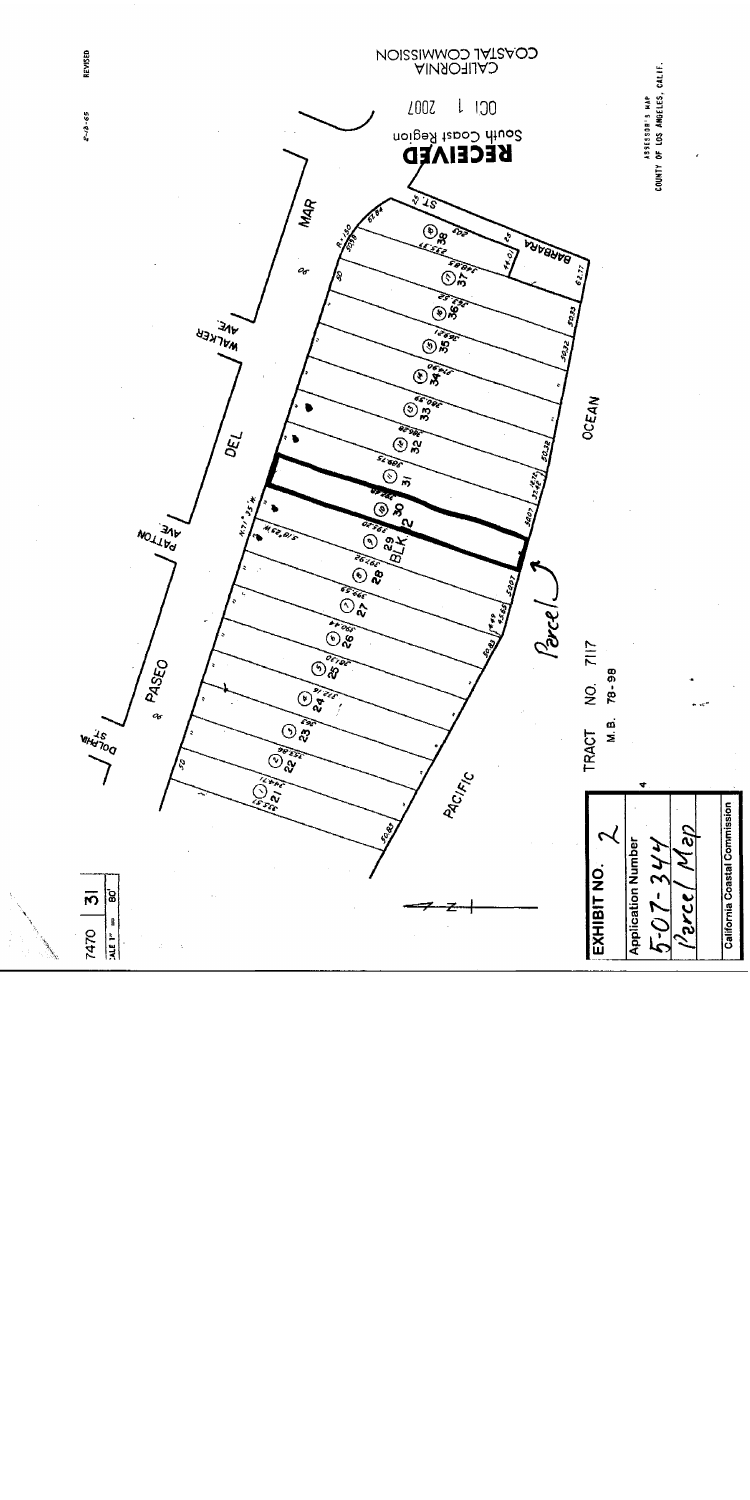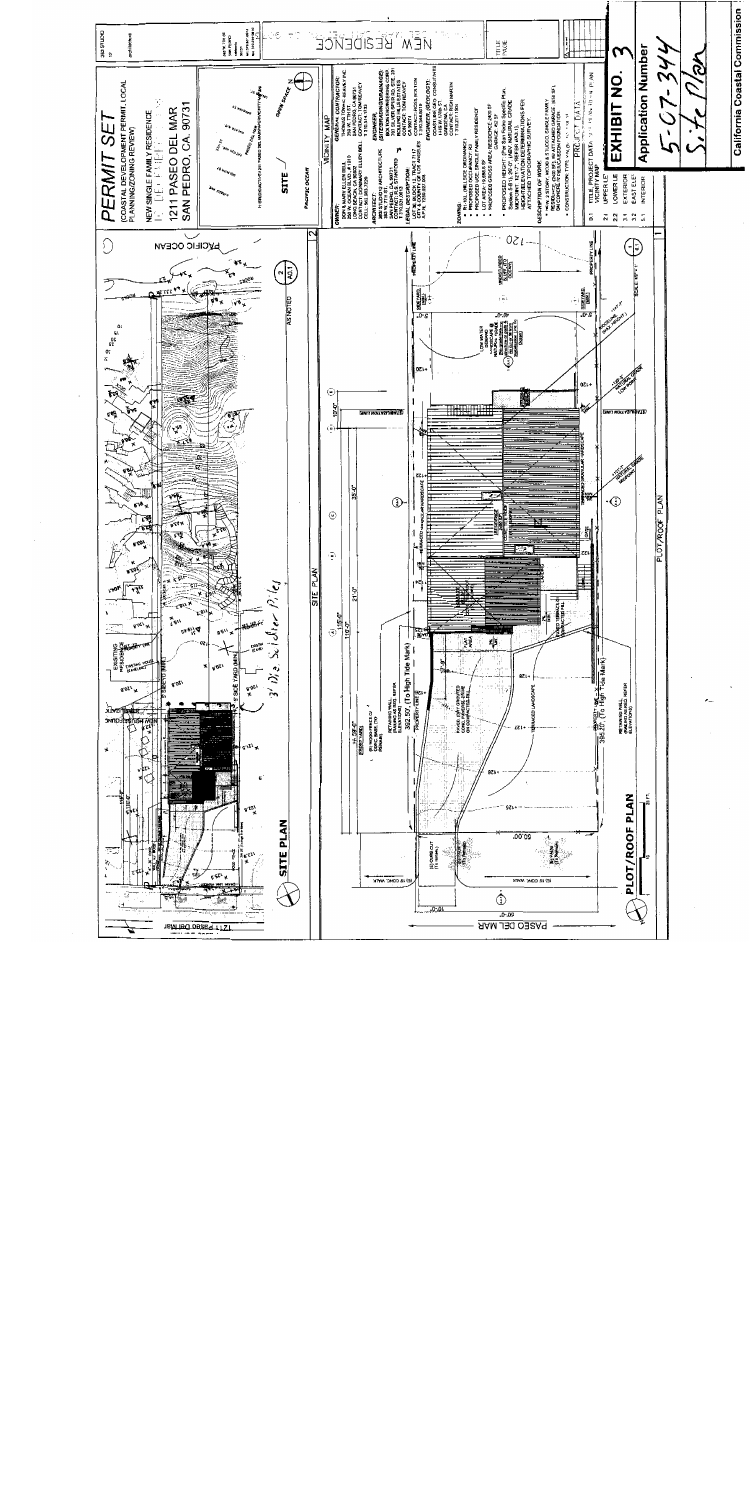

California Coastal Commission